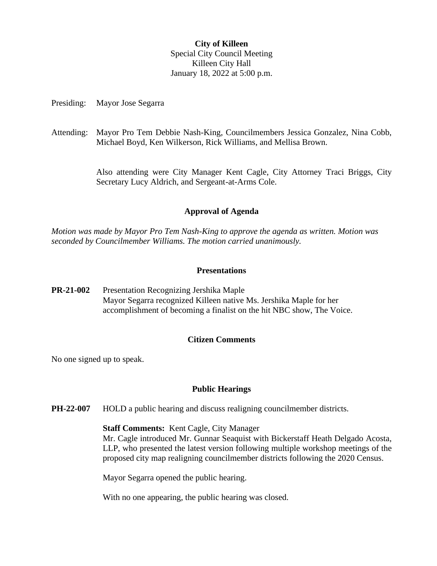## **City of Killeen** Special City Council Meeting Killeen City Hall January 18, 2022 at 5:00 p.m.

Presiding: Mayor Jose Segarra

Attending: Mayor Pro Tem Debbie Nash-King, Councilmembers Jessica Gonzalez, Nina Cobb, Michael Boyd, Ken Wilkerson, Rick Williams, and Mellisa Brown.

> Also attending were City Manager Kent Cagle, City Attorney Traci Briggs, City Secretary Lucy Aldrich, and Sergeant-at-Arms Cole.

## **Approval of Agenda**

*Motion was made by Mayor Pro Tem Nash-King to approve the agenda as written. Motion was seconded by Councilmember Williams. The motion carried unanimously.*

#### **Presentations**

**PR-21-002** Presentation Recognizing Jershika Maple Mayor Segarra recognized Killeen native Ms. Jershika Maple for her accomplishment of becoming a finalist on the hit NBC show, The Voice.

## **Citizen Comments**

No one signed up to speak.

## **Public Hearings**

**PH-22-007** HOLD a public hearing and discuss realigning councilmember districts.

#### **Staff Comments:** Kent Cagle, City Manager

Mr. Cagle introduced Mr. Gunnar Seaquist with Bickerstaff Heath Delgado Acosta, LLP, who presented the latest version following multiple workshop meetings of the proposed city map realigning councilmember districts following the 2020 Census.

Mayor Segarra opened the public hearing.

With no one appearing, the public hearing was closed.